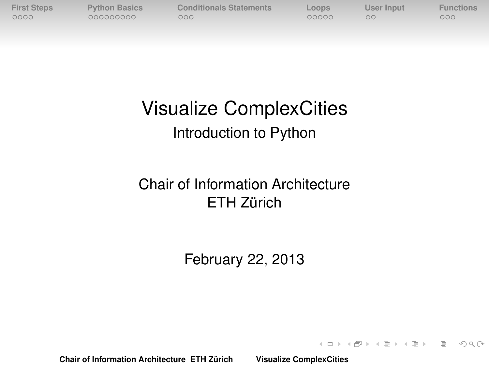**[First Steps](#page-2-0) [Python Basics](#page-6-0) [Conditionals Statements](#page-15-0) [Loops](#page-18-0) [User Input](#page-26-0) [Functions](#page-28-0)**

# Visualize ComplexCities Introduction to Python

#### Chair of Information Architecture ETH Zürich

February 22, 2013

**Chair of Information Architecture ETH Zürich [Visualize ComplexCities](#page-31-0)** 

<span id="page-0-0"></span>イロトイ団 トイミトイモト 一毛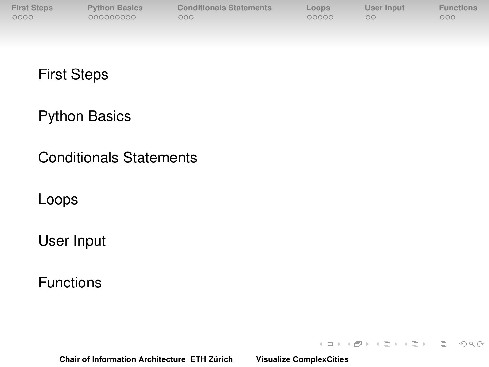| <b>First Steps</b> | <b>Python Basics</b> | <b>Conditionals Statements</b> | Loops | User Input | <b>Functions</b> |
|--------------------|----------------------|--------------------------------|-------|------------|------------------|
| 0000               | 000000000            | OOO.                           | nnnn  |            | 000              |

[First Steps](#page-2-0)

[Python Basics](#page-6-0)

[Conditionals Statements](#page-15-0)

[Loops](#page-18-0)

[User Input](#page-26-0)

[Functions](#page-28-0)

**Chair of Information Architecture ETH Zürich [Visualize ComplexCities](#page-0-0)** 

**KEIXK@ > KEIXKEIX E YOQO**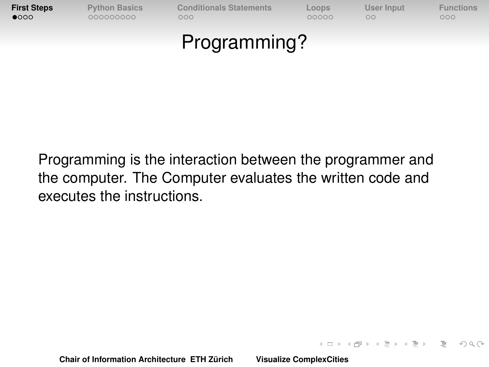| <b>First Steps</b> | <b>Python Basics</b> | <b>Conditionals Statements</b> | Loops | User Input | <b>Functions</b> |
|--------------------|----------------------|--------------------------------|-------|------------|------------------|
| $\bullet$ 000      | 000000000            | 000                            | 00000 | OO.        | 000              |
|                    |                      |                                |       |            |                  |

#### Programming?

Programming is the interaction between the programmer and the computer. The Computer evaluates the written code and executes the instructions.

**Chair of Information Architecture ETH Zürich [Visualize ComplexCities](#page-0-0)** 

<span id="page-2-0"></span>K ロ ▶ K (日 ) K (日 ) K (日 ) × (日 )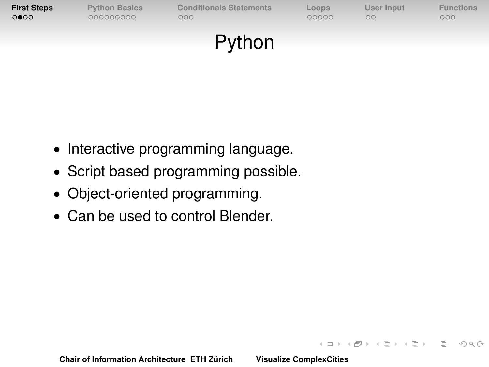**[First Steps](#page-2-0) [Python Basics](#page-6-0) [Conditionals Statements](#page-15-0) [Loops](#page-18-0) [User Input](#page-26-0) [Functions](#page-28-0)**

イロトイ団 トイミトイモト 一毛

 $OQ$ 

Python

- Interactive programming language.
- Script based programming possible.
- Object-oriented programming.
- Can be used to control Blender.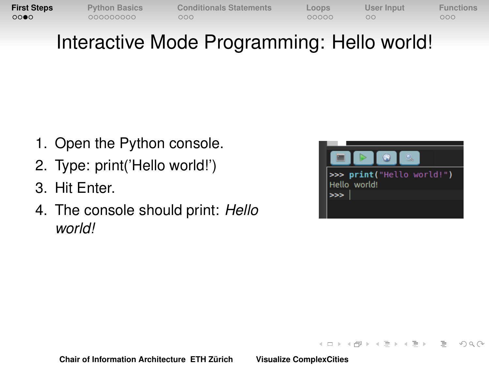| <b>First Steps</b> | <b>Python Basics</b> | <b>Conditionals Statements</b> | Loops | User Input | <b>Functions</b> |
|--------------------|----------------------|--------------------------------|-------|------------|------------------|
| 0000               | 000000000            | 000                            | nnnn  |            | 000              |

# Interactive Mode Programming: Hello world!

- 1. Open the Python console.
- 2. Type: print('Hello world!')
- 3. Hit Enter.
- 4. The console should print: *Hello world!*



イロト イ押ト イラト イラト・ラー

 $OQ$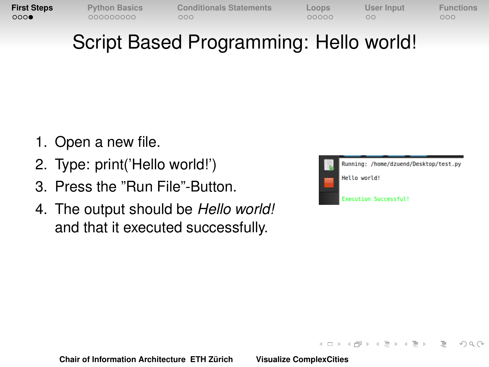| <b>First Steps</b> | <b>Python Basics</b> | <b>Conditionals Statements</b> | Loops | User Input | <b>Functions</b> |
|--------------------|----------------------|--------------------------------|-------|------------|------------------|
| 000                | 000000000            | ೦೦೦                            | 00000 |            | 000              |

# Script Based Programming: Hello world!

- 1. Open a new file.
- 2. Type: print('Hello world!')
- 3. Press the "Run File"-Button.
- 4. The output should be *Hello world!* and that it executed successfully.

| 冦 | Running: /home/dzuend/Desktop/test.py |
|---|---------------------------------------|
|   | Hello world!                          |
|   | <b>Execution Successful!</b>          |

 $\mathbf{A} \otimes \mathbf{A} \otimes \mathbf{A} \otimes \mathbf{A} \otimes \mathbf{A} \otimes \mathbf{A} \otimes \mathbf{A} \otimes \mathbf{A} \otimes \mathbf{A} \otimes \mathbf{A} \otimes \mathbf{A} \otimes \mathbf{A} \otimes \mathbf{A} \otimes \mathbf{A} \otimes \mathbf{A} \otimes \mathbf{A} \otimes \mathbf{A} \otimes \mathbf{A} \otimes \mathbf{A} \otimes \mathbf{A} \otimes \mathbf{A} \otimes \mathbf{A} \otimes \mathbf{A} \otimes \mathbf{A} \otimes \mathbf{$ 

 $OQ$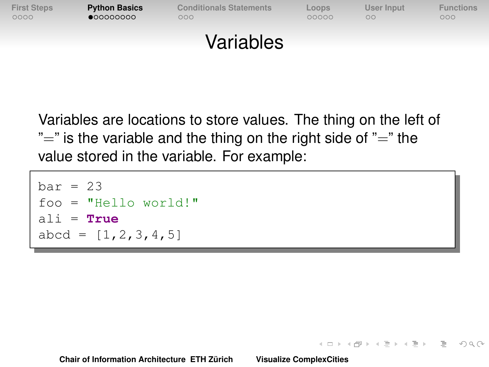

Variables are locations to store values. The thing on the left of " $=$ " is the variable and the thing on the right side of " $=$ " the value stored in the variable. For example:

```
bar = 23foo = "Hello world!"
ali = True
abcd = [1, 2, 3, 4, 5]
```
**Chair of Information Architecture ETH Zürich [Visualize ComplexCities](#page-0-0)** 

<span id="page-6-0"></span>K ロ > K (日) X (日) X (日) X (日) X (日)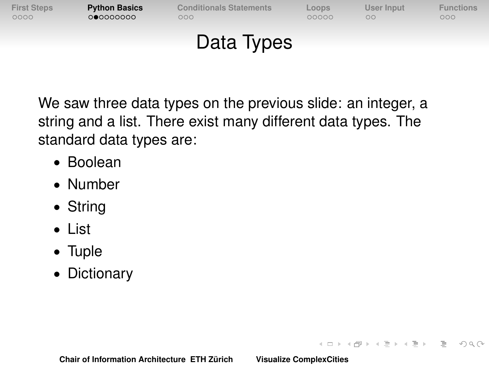

We saw three data types on the previous slide: an integer, a string and a list. There exist many different data types. The standard data types are:

- Boolean
- Number
- String
- List
- Tuple
- Dictionary

**Chair of Information Architecture ETH Zürich [Visualize ComplexCities](#page-0-0)** 

イロト イ母 トイミト イミト

 $\equiv$  $OQ$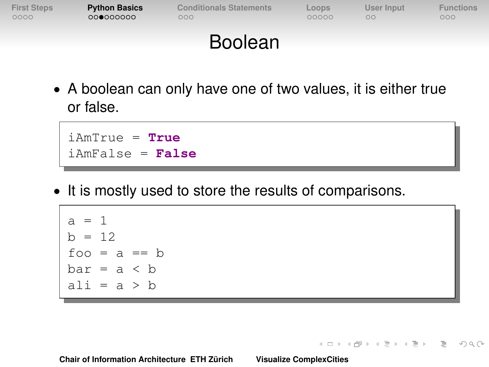| <b>First Steps</b> | <b>Python Basics</b> | <b>Conditionals Statements</b> | Loops | <b>User Input</b> | <b>Functions</b> |
|--------------------|----------------------|--------------------------------|-------|-------------------|------------------|
| 0000               | 000000000            | 000                            | 00000 | $\circ$           | 000              |
|                    |                      | <b>Boolean</b>                 |       |                   |                  |

• A boolean can only have one of two values, it is either true or false.

iAmTrue = **True** iAmFalse = **False**

• It is mostly used to store the results of comparisons.

```
a = 1b = 12foo = a == bbar = a < bali = a > b
```
**Chair of Information Architecture ETH Zürich [Visualize ComplexCities](#page-0-0)** 

KERKAR KERKER E YAN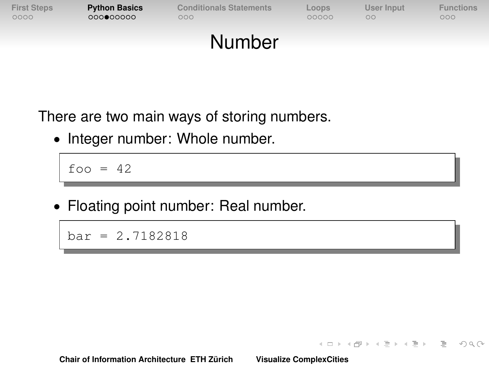

There are two main ways of storing numbers.

• Integer number: Whole number.

foo =  $42$ 

• Floating point number: Real number.

 $bar = 2.7182818$ 

**Chair of Information Architecture ETH Zürich [Visualize ComplexCities](#page-0-0)** 

イロト イ母 トイヨト イヨト 一ヨー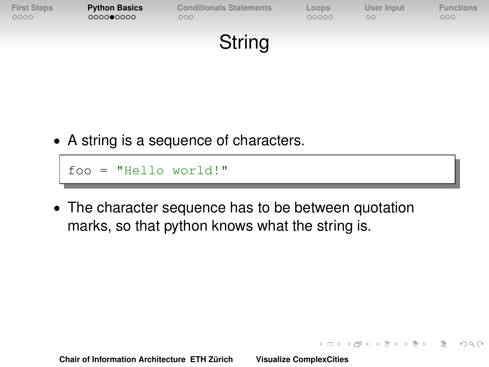

• A string is a sequence of characters.

```
foo = "Hello world!"
```
• The character sequence has to be between quotation marks, so that python knows what the string is.

イロト イ団 トイミト イヨト 一番…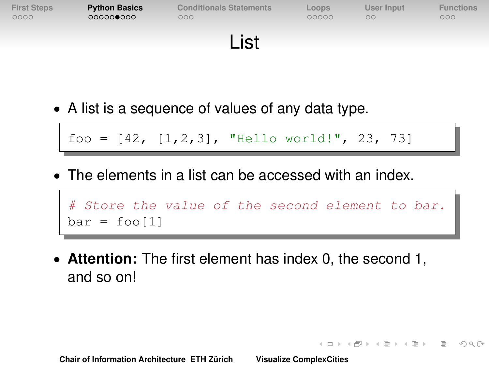

• A list is a sequence of values of any data type.

foo = [42, [1,2,3], "Hello world!", 23, 73]

• The elements in a list can be accessed with an index.

```
Store the value of the second element to bar.
bar = foo[1]
```
• **Attention:** The first element has index 0, the second 1, and so on!

イロト イ母 トイラト イラト・ラー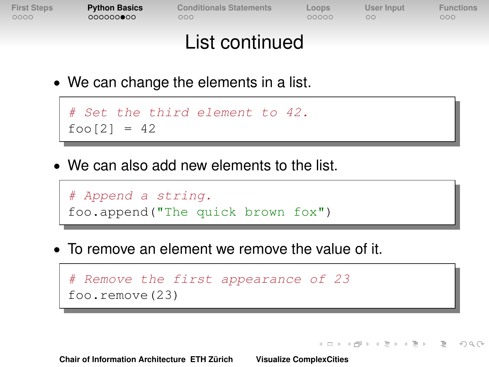| <b>First Steps</b> | <b>Python Basics</b> | <b>Conditionals Statements</b> | Loops | User Input                                      | Functions |
|--------------------|----------------------|--------------------------------|-------|-------------------------------------------------|-----------|
| 0000               | 000000000            | nnn                            | nnnn  | $\left( \begin{array}{c} 1 \end{array} \right)$ | 000       |
|                    |                      |                                |       |                                                 |           |

### List continued

• We can change the elements in a list.

```
Set the third element to 42.
foo[2] = 42
```
• We can also add new elements to the list.

```
# Append a string.
foo.append("The quick brown fox")
```
• To remove an element we remove the value of it.

```
# Remove the first appearance of 23
foo.remove(23)
```
**Chair of Information Architecture ETH Zürich [Visualize ComplexCities](#page-0-0)** 

K ロ ▶ K @ ▶ K ミ ▶ K ミ ▶ │ 글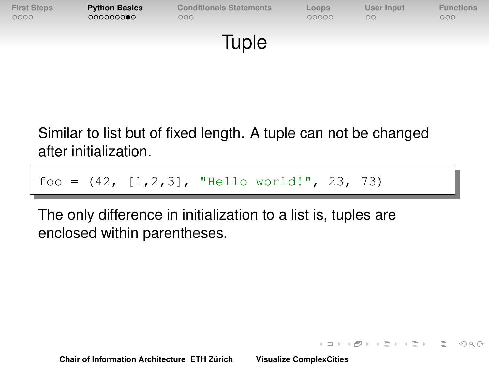

Similar to list but of fixed length. A tuple can not be changed after initialization.

foo =  $(42, [1,2,3],$  "Hello world!", 23, 73)

The only difference in initialization to a list is, tuples are enclosed within parentheses.

**Chair of Information Architecture ETH Zürich [Visualize ComplexCities](#page-0-0)** 

イロトイ団 トイミトイモト 一毛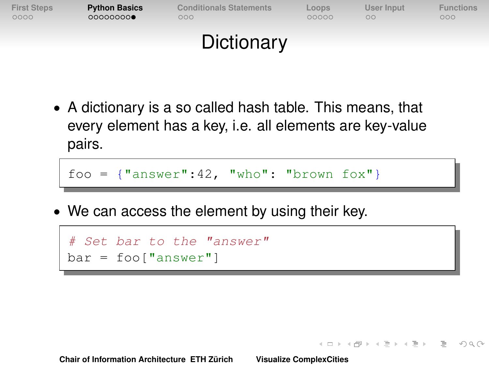

• A dictionary is a so called hash table. This means, that every element has a key, i.e. all elements are key-value pairs.

```
foo = {\lceil "answer": 42, "who": "brown for "box" }
```
• We can access the element by using their key.



**Chair of Information Architecture ETH Zürich [Visualize ComplexCities](#page-0-0)** 

イロト イ母 トイラト イラト・ラー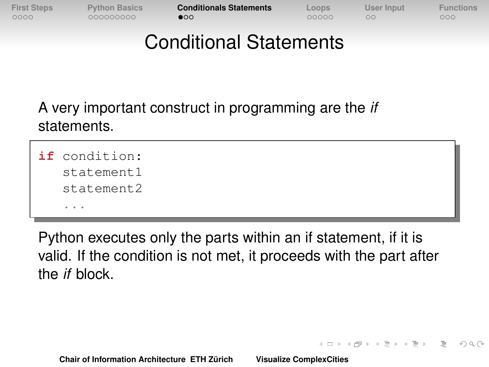| <b>First Steps</b> | <b>Python Basics</b> | <b>Conditionals Statements</b> | Loops | User Input | <b>Functions</b> |
|--------------------|----------------------|--------------------------------|-------|------------|------------------|
| 0000               | 000000000            | $\bullet$                      | nnnn  |            | 000              |

# Conditional Statements

A very important construct in programming are the *if* statements.

**if** condition: statement1 statement2 ...

Python executes only the parts within an if statement, if it is valid. If the condition is not met, it proceeds with the part after the *if* block.

<span id="page-15-0"></span> $\mathcal{A} \otimes \mathcal{A} \rightarrow \mathcal{A} \otimes \mathcal{B} \rightarrow \mathcal{A} \otimes \mathcal{B} \rightarrow \mathcal{A} \otimes \mathcal{B} \rightarrow \mathcal{A} \otimes \mathcal{B}$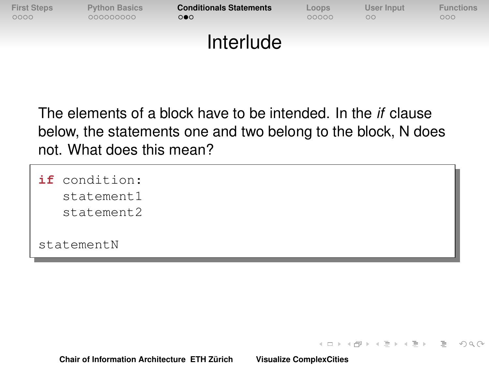

The elements of a block have to be intended. In the *if* clause below, the statements one and two belong to the block, N does not. What does this mean?

**if** condition: statement1 statement2

statementN

**Chair of Information Architecture ETH Zürich [Visualize ComplexCities](#page-0-0)** 

イロト イ母ト イヨト イヨト

 $OQ$  $\equiv$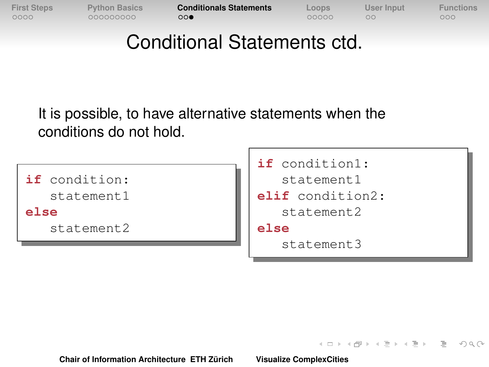| <b>First Steps</b> | <b>Python Basics</b> | <b>Conditionals Statements</b> | Loops | User Input | Functions |
|--------------------|----------------------|--------------------------------|-------|------------|-----------|
| ററററ               | 000000000            | $\circ\circ\bullet$            | nnnn  | OO.        | 000       |

# Conditional Statements ctd.

It is possible, to have alternative statements when the conditions do not hold.

| if condition: |  |
|---------------|--|
| statement1    |  |
|               |  |

**else**

statement2

```
if condition1:
   statement1
elif condition2:
   statement2
else
   statement3
```
K ロ ▶ K 레 ▶ K 코 ▶ K 코 ▶ - 프 → 9 Q Q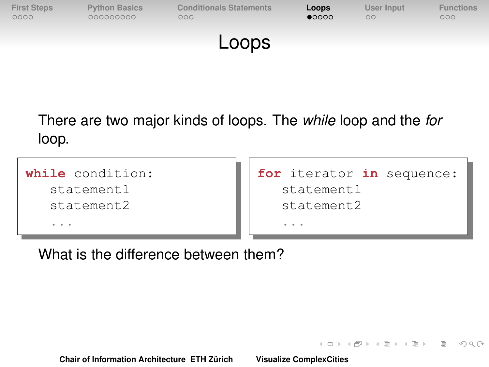

There are two major kinds of loops. The *while* loop and the *for* loop.

| while condition: |
|------------------|
| statementl       |
| statement2       |
|                  |

| for iterator in sequence: |
|---------------------------|
| statement1                |
| statement2                |
|                           |

イロト イ団 トイミト イモト 一毛…

<span id="page-18-0"></span> $OQ$ 

What is the difference between them?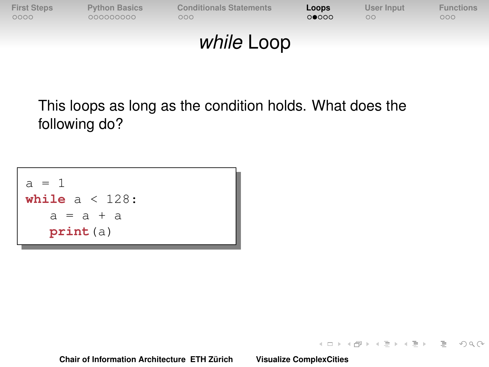| <b>First Steps</b> | <b>Python Basics</b> | <b>Conditionals Statements</b> | Loops | User Input | <b>Functions</b> |
|--------------------|----------------------|--------------------------------|-------|------------|------------------|
| 0000               | 000000000            | COO                            | റ∙റററ |            | 000              |

## *while* Loop

This loops as long as the condition holds. What does the following do?

| $a = 1$<br>while $a < 128$ : |  |
|------------------------------|--|
| $a = a + a$<br>print(a)      |  |

**Chair of Information Architecture ETH Zürich [Visualize ComplexCities](#page-0-0)** 

 $\mathcal{A} \subseteq \mathcal{A} \Rightarrow \mathcal{A} \subseteq \mathcal{B} \Rightarrow \mathcal{A} \subseteq \mathcal{B} \Rightarrow \mathcal{A} \subseteq \mathcal{B} \Rightarrow \mathcal{B} \subseteq \mathcal{B}$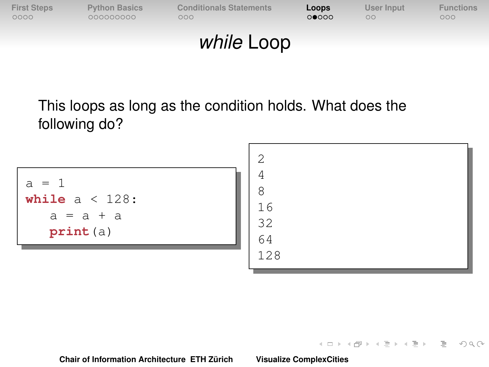

#### *while* Loop

This loops as long as the condition holds. What does the following do?



#### **Chair of Information Architecture ETH Zürich [Visualize ComplexCities](#page-0-0)**

イロトメ部 トメミトメミト

 $\equiv$  $OQ$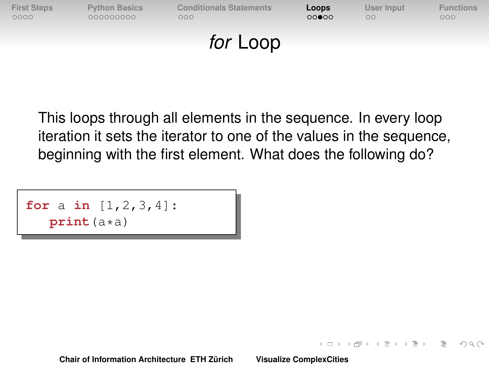| <b>First Steps</b> | <b>Python Basics</b> | <b>Conditionals Statements</b> | <b>Loops</b> | <b>User Input</b> | <b>Functions</b> |
|--------------------|----------------------|--------------------------------|--------------|-------------------|------------------|
| 0000               | 000000000            | 000                            | 00000        | $\circ$           | 000              |
|                    |                      | for Loop                       |              |                   |                  |

This loops through all elements in the sequence. In every loop iteration it sets the iterator to one of the values in the sequence, beginning with the first element. What does the following do?

```
for a in [1,2,3,4]:
   print(a*a)
```
**Chair of Information Architecture ETH Zürich [Visualize ComplexCities](#page-0-0)** 

K ロ > K @ > K 등 > K 등 > … 등 …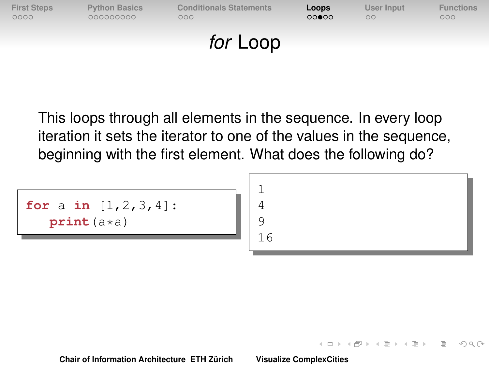

This loops through all elements in the sequence. In every loop iteration it sets the iterator to one of the values in the sequence, beginning with the first element. What does the following do?

**for** a **in** 
$$
[1, 2, 3, 4]:
$$
  
**print** (a\*a)  
**limit** (a\*a)  
**16**  
**16**

**Chair of Information Architecture ETH Zürich [Visualize ComplexCities](#page-0-0)** 

イロン イ団 メイミン イヨン

 $\equiv$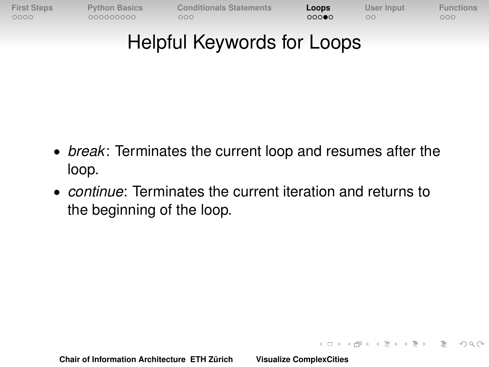| <b>First Steps</b> | <b>Python Basics</b> | <b>Conditionals Statements</b> | Loops | User Input | <b>Functions</b> |
|--------------------|----------------------|--------------------------------|-------|------------|------------------|
| 0000               | 000000000            | 000                            | 000   |            | 000              |

# Helpful Keywords for Loops

- *break*: Terminates the current loop and resumes after the loop.
- *continue*: Terminates the current iteration and returns to the beginning of the loop.

**Chair of Information Architecture ETH Zürich [Visualize ComplexCities](#page-0-0)** 

K ロ ▶ K 레 ▶ K 코 ▶ K 코 ▶ - 프 → 9 Q Q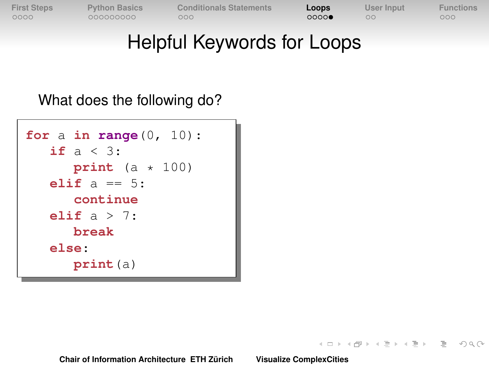| <b>First Steps</b> | <b>Python Basics</b> | <b>Conditionals Statements</b> | Loops | User Input | <b>Functions</b> |
|--------------------|----------------------|--------------------------------|-------|------------|------------------|
| 0000               | 000000000            | 000                            | 0000  |            | 000              |

# Helpful Keywords for Loops

What does the following do?

```
for a in range(0, 10):
   if a < 3:
      print (a * 100)
   elif a == 5continue
   elif a > 7:
     break
   else:
      print(a)
```
イロト イ母 トイミト イミト・ミニ りんぐ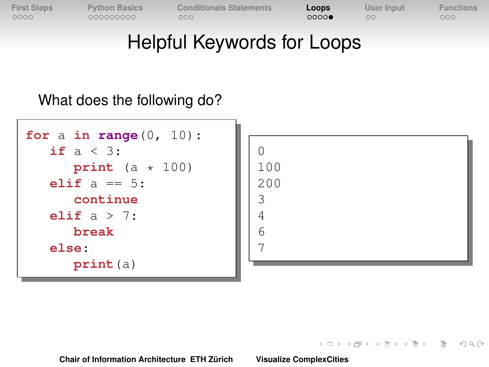| <b>First Steps</b> | <b>Python Basics</b> | <b>Conditionals Statements</b> | Loops | User Input | Functions |
|--------------------|----------------------|--------------------------------|-------|------------|-----------|
| 0000               | 000000000            | 000                            | ೦೦೦೦● |            | 000       |

# Helpful Keywords for Loops

What does the following do?

```
for a in range(0, 10):
   if a < 3:
      print (a * 100)
   elif a == 5continue
   elif a > 7:
      break
   else:
      print(a)
```


イロト イ母 トイヨト イヨト 一ヨー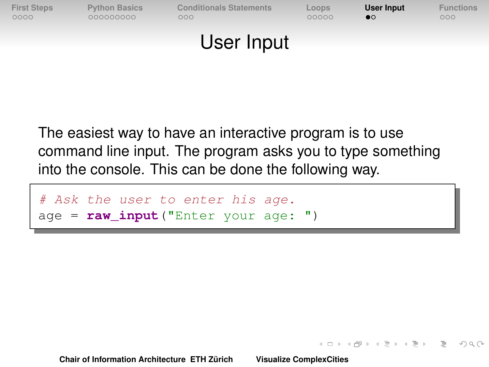| <b>First Steps</b> | <b>Python Basics</b> | <b>Conditionals Statements</b> | Loops | User Input | <b>Functions</b> |
|--------------------|----------------------|--------------------------------|-------|------------|------------------|
| 0000               | annanana             | 000                            | 00000 | $\bullet$  | 000              |
|                    |                      |                                |       |            |                  |

#### User Input

The easiest way to have an interactive program is to use command line input. The program asks you to type something into the console. This can be done the following way.

```
# Ask the user to enter his age.
age = raw_input("Enter your age: ")
```
**Chair of Information Architecture ETH Zürich [Visualize ComplexCities](#page-0-0)** 

<span id="page-26-0"></span> $\mathcal{A} \oplus \mathcal{B} \rightarrow \mathcal{A} \oplus \mathcal{B} \rightarrow \mathcal{A} \oplus \mathcal{B} \rightarrow \mathcal{B}$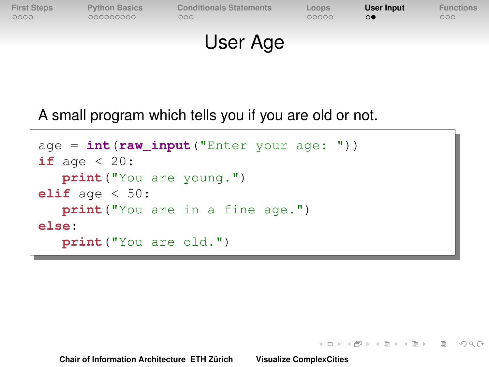

A small program which tells you if you are old or not.

```
age = int(raw_input("Enter your age: "))
if \text{age} < 20:print("You are young.")
elif age < 50:
   print("You are in a fine age.")
else:
   print("You are old.")
```
**Chair of Information Architecture ETH Zürich [Visualize ComplexCities](#page-0-0)** 

イロト イ母 トイラ トイラト

 $\equiv$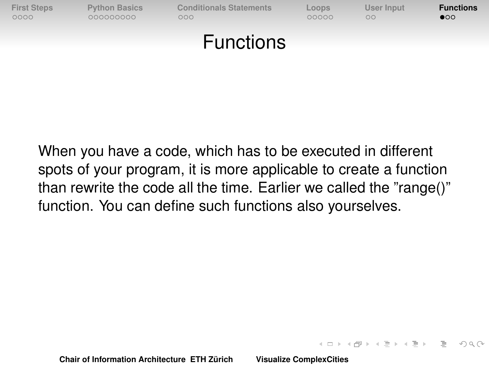| <b>First Steps</b> | <b>Python Basics</b> | <b>Conditionals Statements</b> | Loops | User Input       | <b>Functions</b> |
|--------------------|----------------------|--------------------------------|-------|------------------|------------------|
| 0000               | 000000000            | 000                            | 00000 | $\sum_{i=1}^{n}$ | $\bullet$        |
|                    |                      |                                |       |                  |                  |

### Functions

When you have a code, which has to be executed in different spots of your program, it is more applicable to create a function than rewrite the code all the time. Earlier we called the "range()" function. You can define such functions also yourselves.

**Chair of Information Architecture ETH Zürich [Visualize ComplexCities](#page-0-0)** 

<span id="page-28-0"></span>イロンド倒 メイミンド ミンニヨ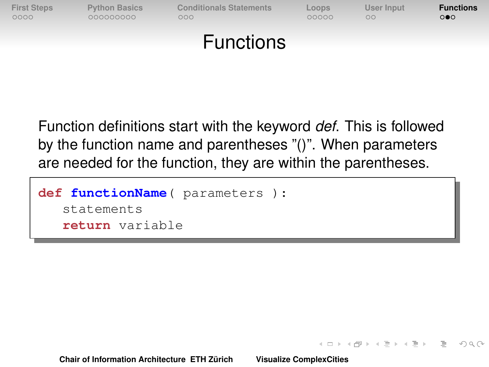| <b>First Steps</b> | <b>Python Basics</b> | <b>Conditionals Statements</b> | Loops | User Input | <b>Functions</b>      |
|--------------------|----------------------|--------------------------------|-------|------------|-----------------------|
| 0000               | 000000000            | ೦೦೦                            | 00000 | ΩO         | $\circ \bullet \circ$ |
|                    |                      |                                |       |            |                       |

#### Functions

Function definitions start with the keyword *def*. This is followed by the function name and parentheses "()". When parameters are needed for the function, they are within the parentheses.

```
def functionName( parameters ):
   statements
   return variable
```
**Chair of Information Architecture ETH Zürich [Visualize ComplexCities](#page-0-0)** 

 $\mathcal{A} \otimes \mathcal{A} \rightarrow \mathcal{A} \otimes \mathcal{B} \rightarrow \mathcal{A} \otimes \mathcal{B} \rightarrow \mathcal{A} \otimes \mathcal{B} \rightarrow \mathcal{B} \otimes \mathcal{B}$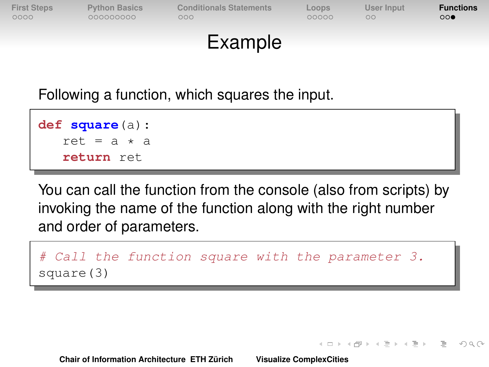

Example

Following a function, which squares the input.

```
def square(a):
   ret = a * areturn ret
```
You can call the function from the console (also from scripts) by invoking the name of the function along with the right number and order of parameters.



**Chair of Information Architecture ETH Zürich [Visualize ComplexCities](#page-0-0)** 

イロト イ母ト イヨト イヨト

 $\equiv$